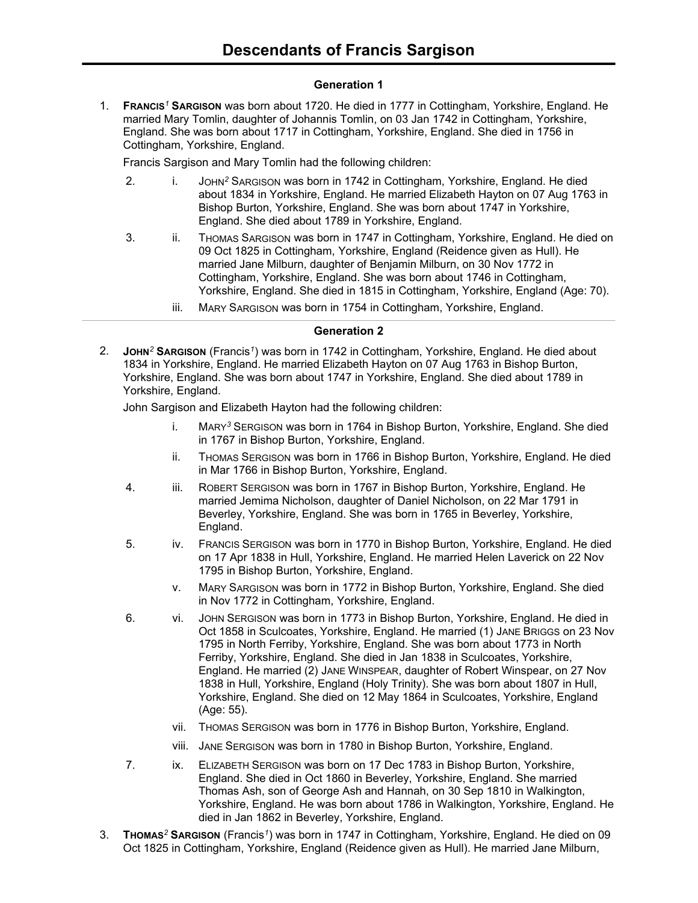#### **Generation 1**

1. **FRANCIS***<sup>1</sup>* **SARGISON** was born about 1720. He died in 1777 in Cottingham, Yorkshire, England. He married Mary Tomlin, daughter of Johannis Tomlin, on 03 Jan 1742 in Cottingham, Yorkshire, England. She was born about 1717 in Cottingham, Yorkshire, England. She died in 1756 in Cottingham, Yorkshire, England.

Francis Sargison and Mary Tomlin had the following children:

- 2. i. JOHN<sup>2</sup> SARGISON was born in 1742 in Cottingham, Yorkshire, England. He died about 1834 in Yorkshire, England. He married Elizabeth Hayton on 07 Aug 1763 in Bishop Burton, Yorkshire, England. She was born about 1747 in Yorkshire, England. She died about 1789 in Yorkshire, England.
- 3. ii. Thomas Sargison was born in 1747 in Cottingham, Yorkshire, England. He died on 09 Oct 1825 in Cottingham, Yorkshire, England (Reidence given as Hull). He married Jane Milburn, daughter of Benjamin Milburn, on 30 Nov 1772 in Cottingham, Yorkshire, England. She was born about 1746 in Cottingham, Yorkshire, England. She died in 1815 in Cottingham, Yorkshire, England (Age: 70).
	- iii. MARY SARGISON was born in 1754 in Cottingham, Yorkshire, England.

#### **Generation 2**

2. **JOHN***<sup>2</sup>* **SARGISON** (Francis*<sup>1</sup>* ) was born in 1742 in Cottingham, Yorkshire, England. He died about 1834 in Yorkshire, England. He married Elizabeth Hayton on 07 Aug 1763 in Bishop Burton, Yorkshire, England. She was born about 1747 in Yorkshire, England. She died about 1789 in Yorkshire, England.

John Sargison and Elizabeth Hayton had the following children:

- i. MARY*<sup>3</sup>* SERGISON was born in 1764 in Bishop Burton, Yorkshire, England. She died in 1767 in Bishop Burton, Yorkshire, England.
- ii. THOMAS SERGISON was born in 1766 in Bishop Burton, Yorkshire, England. He died in Mar 1766 in Bishop Burton, Yorkshire, England.
- 4. iii. ROBERT SERGISON was born in 1767 in Bishop Burton, Yorkshire, England. He married Jemima Nicholson, daughter of Daniel Nicholson, on 22 Mar 1791 in Beverley, Yorkshire, England. She was born in 1765 in Beverley, Yorkshire, England.
- 5. iv. FRANCIS SERGISON was born in 1770 in Bishop Burton, Yorkshire, England. He died on 17 Apr 1838 in Hull, Yorkshire, England. He married Helen Laverick on 22 Nov 1795 in Bishop Burton, Yorkshire, England.
	- v. MARY SARGISON was born in 1772 in Bishop Burton, Yorkshire, England. She died in Nov 1772 in Cottingham, Yorkshire, England.
- 6. vi. JOHN SERGISON was born in 1773 in Bishop Burton, Yorkshire, England. He died in Oct 1858 in Sculcoates, Yorkshire, England. He married (1) JANE BRIGGS on 23 Nov 1795 in North Ferriby, Yorkshire, England. She was born about 1773 in North Ferriby, Yorkshire, England. She died in Jan 1838 in Sculcoates, Yorkshire, England. He married (2) JANE WINSPEAR, daughter of Robert Winspear, on 27 Nov 1838 in Hull, Yorkshire, England (Holy Trinity). She was born about 1807 in Hull, Yorkshire, England. She died on 12 May 1864 in Sculcoates, Yorkshire, England (Age: 55).
	- vii. THOMAS SERGISON was born in 1776 in Bishop Burton, Yorkshire, England.
	- viii. JANE SERGISON was born in 1780 in Bishop Burton, Yorkshire, England.
- 7. ix. ELIZABETH SERGISON was born on 17 Dec 1783 in Bishop Burton, Yorkshire, England. She died in Oct 1860 in Beverley, Yorkshire, England. She married Thomas Ash, son of George Ash and Hannah, on 30 Sep 1810 in Walkington, Yorkshire, England. He was born about 1786 in Walkington, Yorkshire, England. He died in Jan 1862 in Beverley, Yorkshire, England.
- 3. **THOMAS***<sup>2</sup>* **SARGISON** (Francis*<sup>1</sup>* ) was born in 1747 in Cottingham, Yorkshire, England. He died on 09 Oct 1825 in Cottingham, Yorkshire, England (Reidence given as Hull). He married Jane Milburn,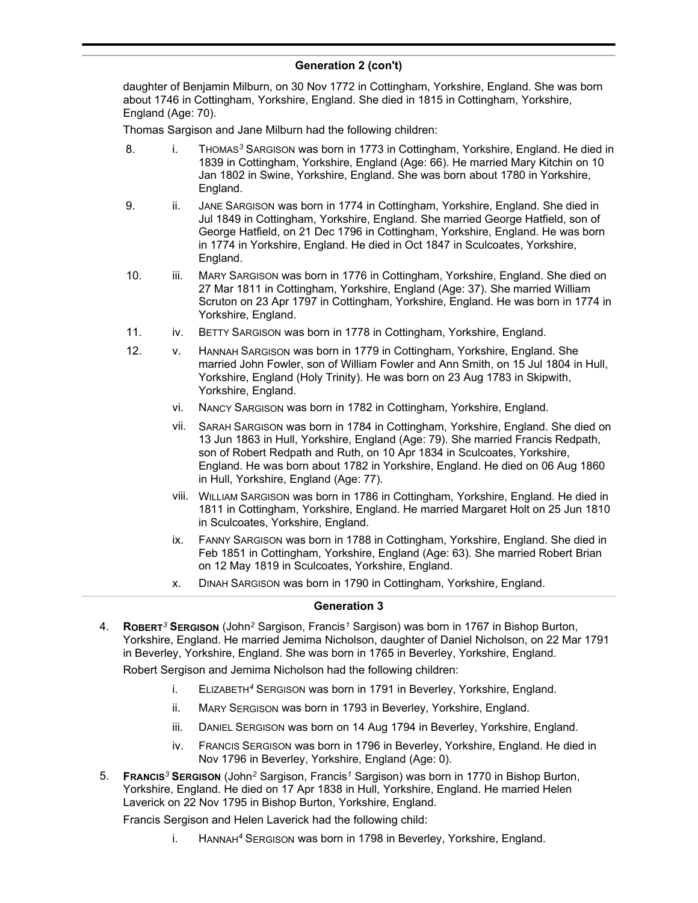# **Generation 2 (con't)**

daughter of Benjamin Milburn, on 30 Nov 1772 in Cottingham, Yorkshire, England. She was born about 1746 in Cottingham, Yorkshire, England. She died in 1815 in Cottingham, Yorkshire, England (Age: 70).

Thomas Sargison and Jane Milburn had the following children:

- 8. i. THOMAS<sup>3</sup> SARGISON was born in 1773 in Cottingham, Yorkshire, England. He died in 1839 in Cottingham, Yorkshire, England (Age: 66). He married Mary Kitchin on 10 Jan 1802 in Swine, Yorkshire, England. She was born about 1780 in Yorkshire, England.
- 9. ii. JANE SARGISON was born in 1774 in Cottingham, Yorkshire, England. She died in Jul 1849 in Cottingham, Yorkshire, England. She married George Hatfield, son of George Hatfield, on 21 Dec 1796 in Cottingham, Yorkshire, England. He was born in 1774 in Yorkshire, England. He died in Oct 1847 in Sculcoates, Yorkshire, England.
- 10. iii. MARY SARGISON was born in 1776 in Cottingham, Yorkshire, England. She died on 27 Mar 1811 in Cottingham, Yorkshire, England (Age: 37). She married William Scruton on 23 Apr 1797 in Cottingham, Yorkshire, England. He was born in 1774 in Yorkshire, England.
- 11. iv. BETTY SARGISON was born in 1778 in Cottingham, Yorkshire, England.
- 12. v. HANNAH SARGISON was born in 1779 in Cottingham, Yorkshire, England. She married John Fowler, son of William Fowler and Ann Smith, on 15 Jul 1804 in Hull, Yorkshire, England (Holy Trinity). He was born on 23 Aug 1783 in Skipwith, Yorkshire, England.
	- vi. NANCY SARGISON was born in 1782 in Cottingham, Yorkshire, England.
	- vii. SARAH SARGISON was born in 1784 in Cottingham, Yorkshire, England. She died on 13 Jun 1863 in Hull, Yorkshire, England (Age: 79). She married Francis Redpath, son of Robert Redpath and Ruth, on 10 Apr 1834 in Sculcoates, Yorkshire, England. He was born about 1782 in Yorkshire, England. He died on 06 Aug 1860 in Hull, Yorkshire, England (Age: 77).
	- viii. WILLIAM SARGISON was born in 1786 in Cottingham, Yorkshire, England. He died in 1811 in Cottingham, Yorkshire, England. He married Margaret Holt on 25 Jun 1810 in Sculcoates, Yorkshire, England.
	- ix. FANNY SARGISON was born in 1788 in Cottingham, Yorkshire, England. She died in Feb 1851 in Cottingham, Yorkshire, England (Age: 63). She married Robert Brian on 12 May 1819 in Sculcoates, Yorkshire, England.
	- x. DINAH SARGISON was born in 1790 in Cottingham, Yorkshire, England.

## **Generation 3**

4. **ROBERT***<sup>3</sup>* **SERGISON** (John*<sup>2</sup>* Sargison, Francis*<sup>1</sup>* Sargison) was born in 1767 in Bishop Burton, Yorkshire, England. He married Jemima Nicholson, daughter of Daniel Nicholson, on 22 Mar 1791 in Beverley, Yorkshire, England. She was born in 1765 in Beverley, Yorkshire, England.

Robert Sergison and Jemima Nicholson had the following children:

- i. ELIZABETH*<sup>4</sup>* SERGISON was born in 1791 in Beverley, Yorkshire, England.
- ii. MARY SERGISON was born in 1793 in Beverley, Yorkshire, England.
- iii. DANIEL SERGISON was born on 14 Aug 1794 in Beverley, Yorkshire, England.
- iv. FRANCIS SERGISON was born in 1796 in Beverley, Yorkshire, England. He died in Nov 1796 in Beverley, Yorkshire, England (Age: 0).
- 5. **FRANCIS***<sup>3</sup>* **SERGISON** (John*<sup>2</sup>* Sargison, Francis*<sup>1</sup>* Sargison) was born in 1770 in Bishop Burton, Yorkshire, England. He died on 17 Apr 1838 in Hull, Yorkshire, England. He married Helen Laverick on 22 Nov 1795 in Bishop Burton, Yorkshire, England.

Francis Sergison and Helen Laverick had the following child:

i. HANNAH*<sup>4</sup>* SERGISON was born in 1798 in Beverley, Yorkshire, England.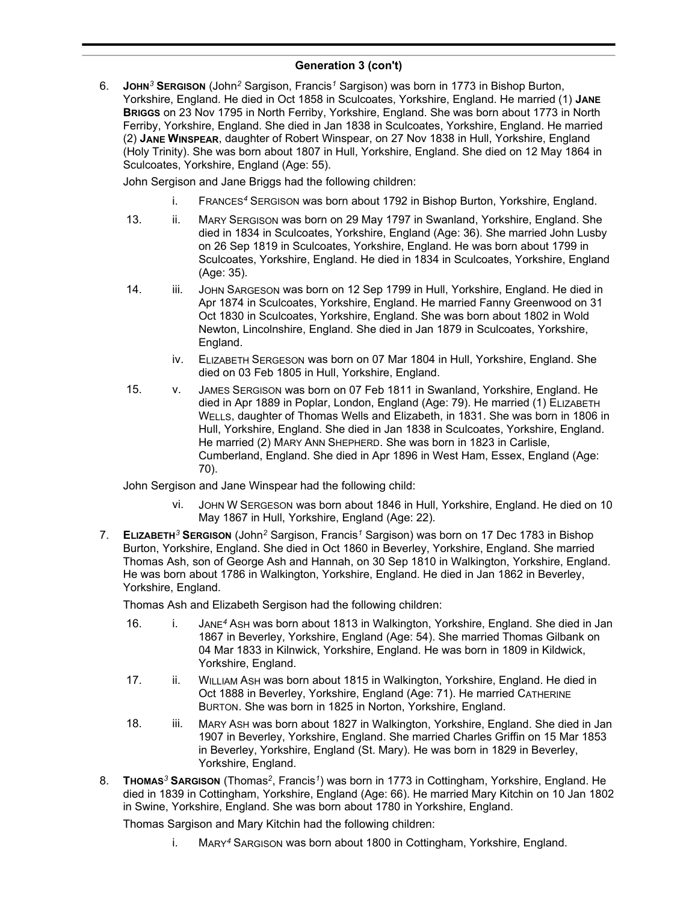# **Generation 3 (con't)**

6. **JOHN***<sup>3</sup>* **SERGISON** (John*<sup>2</sup>* Sargison, Francis*<sup>1</sup>* Sargison) was born in 1773 in Bishop Burton, Yorkshire, England. He died in Oct 1858 in Sculcoates, Yorkshire, England. He married (1) **JANE BRIGGS** on 23 Nov 1795 in North Ferriby, Yorkshire, England. She was born about 1773 in North Ferriby, Yorkshire, England. She died in Jan 1838 in Sculcoates, Yorkshire, England. He married (2) **JANE WINSPEAR**, daughter of Robert Winspear, on 27 Nov 1838 in Hull, Yorkshire, England (Holy Trinity). She was born about 1807 in Hull, Yorkshire, England. She died on 12 May 1864 in Sculcoates, Yorkshire, England (Age: 55).

John Sergison and Jane Briggs had the following children:

- i. FRANCES*<sup>4</sup>* SERGISON was born about 1792 in Bishop Burton, Yorkshire, England.
- 13. ii. MARY SERGISON was born on 29 May 1797 in Swanland, Yorkshire, England. She died in 1834 in Sculcoates, Yorkshire, England (Age: 36). She married John Lusby on 26 Sep 1819 in Sculcoates, Yorkshire, England. He was born about 1799 in Sculcoates, Yorkshire, England. He died in 1834 in Sculcoates, Yorkshire, England (Age: 35).
- 14. iii. JOHN SARGESON was born on 12 Sep 1799 in Hull, Yorkshire, England. He died in Apr 1874 in Sculcoates, Yorkshire, England. He married Fanny Greenwood on 31 Oct 1830 in Sculcoates, Yorkshire, England. She was born about 1802 in Wold Newton, Lincolnshire, England. She died in Jan 1879 in Sculcoates, Yorkshire, England.
	- iv. ELIZABETH SERGESON was born on 07 Mar 1804 in Hull, Yorkshire, England. She died on 03 Feb 1805 in Hull, Yorkshire, England.
- 15. v. JAMES SERGISON was born on 07 Feb 1811 in Swanland, Yorkshire, England. He died in Apr 1889 in Poplar, London, England (Age: 79). He married (1) ELIZABETH WELLS, daughter of Thomas Wells and Elizabeth, in 1831. She was born in 1806 in Hull, Yorkshire, England. She died in Jan 1838 in Sculcoates, Yorkshire, England. He married (2) MARY ANN SHEPHERD. She was born in 1823 in Carlisle, Cumberland, England. She died in Apr 1896 in West Ham, Essex, England (Age: 70).

John Sergison and Jane Winspear had the following child:

- vi. JOHN W SERGESON was born about 1846 in Hull, Yorkshire, England. He died on 10 May 1867 in Hull, Yorkshire, England (Age: 22).
- 7. **ELIZABETH***<sup>3</sup>* **SERGISON** (John*<sup>2</sup>* Sargison, Francis*<sup>1</sup>* Sargison) was born on 17 Dec 1783 in Bishop Burton, Yorkshire, England. She died in Oct 1860 in Beverley, Yorkshire, England. She married Thomas Ash, son of George Ash and Hannah, on 30 Sep 1810 in Walkington, Yorkshire, England. He was born about 1786 in Walkington, Yorkshire, England. He died in Jan 1862 in Beverley, Yorkshire, England.

Thomas Ash and Elizabeth Sergison had the following children:

- 16. i. JANE*<sup>4</sup>* ASH was born about 1813 in Walkington, Yorkshire, England. She died in Jan 1867 in Beverley, Yorkshire, England (Age: 54). She married Thomas Gilbank on 04 Mar 1833 in Kilnwick, Yorkshire, England. He was born in 1809 in Kildwick, Yorkshire, England.
- 17. ii. WILLIAM ASH was born about 1815 in Walkington, Yorkshire, England. He died in Oct 1888 in Beverley, Yorkshire, England (Age: 71). He married CATHERINE BURTON. She was born in 1825 in Norton, Yorkshire, England.
- 18. iii. MARY ASH was born about 1827 in Walkington, Yorkshire, England. She died in Jan 1907 in Beverley, Yorkshire, England. She married Charles Griffin on 15 Mar 1853 in Beverley, Yorkshire, England (St. Mary). He was born in 1829 in Beverley, Yorkshire, England.
- 8. **THOMAS***<sup>3</sup>* **SARGISON** (Thomas*<sup>2</sup>* , Francis*<sup>1</sup>* ) was born in 1773 in Cottingham, Yorkshire, England. He died in 1839 in Cottingham, Yorkshire, England (Age: 66). He married Mary Kitchin on 10 Jan 1802 in Swine, Yorkshire, England. She was born about 1780 in Yorkshire, England.

Thomas Sargison and Mary Kitchin had the following children:

i. MARY*<sup>4</sup>* SARGISON was born about 1800 in Cottingham, Yorkshire, England.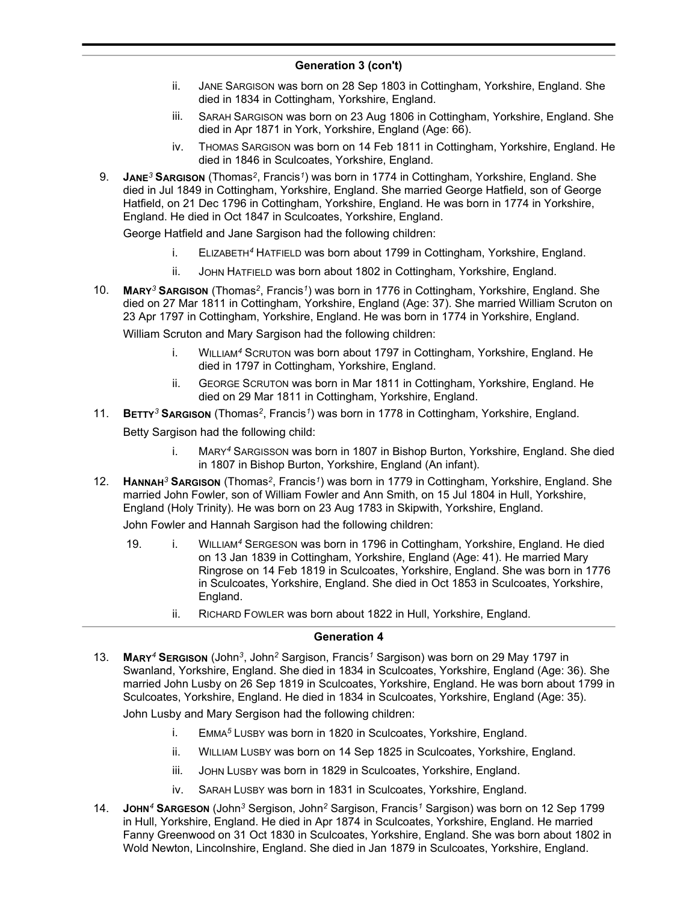## **Generation 3 (con't)**

- ii. JANE SARGISON was born on 28 Sep 1803 in Cottingham, Yorkshire, England. She died in 1834 in Cottingham, Yorkshire, England.
- iii. SARAH SARGISON was born on 23 Aug 1806 in Cottingham, Yorkshire, England. She died in Apr 1871 in York, Yorkshire, England (Age: 66).
- iv. THOMAS SARGISON was born on 14 Feb 1811 in Cottingham, Yorkshire, England. He died in 1846 in Sculcoates, Yorkshire, England.
- 9. **JANE***<sup>3</sup>* **SARGISON** (Thomas*<sup>2</sup>* , Francis*<sup>1</sup>* ) was born in 1774 in Cottingham, Yorkshire, England. She died in Jul 1849 in Cottingham, Yorkshire, England. She married George Hatfield, son of George Hatfield, on 21 Dec 1796 in Cottingham, Yorkshire, England. He was born in 1774 in Yorkshire, England. He died in Oct 1847 in Sculcoates, Yorkshire, England.

George Hatfield and Jane Sargison had the following children:

- i. ELIZABETH*<sup>4</sup>* HATFIELD was born about 1799 in Cottingham, Yorkshire, England.
- ii. JOHN HATFIELD was born about 1802 in Cottingham, Yorkshire, England.
- 10. **MARY***<sup>3</sup>* **SARGISON** (Thomas*<sup>2</sup>* , Francis*<sup>1</sup>* ) was born in 1776 in Cottingham, Yorkshire, England. She died on 27 Mar 1811 in Cottingham, Yorkshire, England (Age: 37). She married William Scruton on 23 Apr 1797 in Cottingham, Yorkshire, England. He was born in 1774 in Yorkshire, England.

William Scruton and Mary Sargison had the following children:

- i. WILLIAM*<sup>4</sup>* SCRUTON was born about 1797 in Cottingham, Yorkshire, England. He died in 1797 in Cottingham, Yorkshire, England.
- ii. GEORGE SCRUTON was born in Mar 1811 in Cottingham, Yorkshire, England. He died on 29 Mar 1811 in Cottingham, Yorkshire, England.
- 11. **BETTY***<sup>3</sup>* **SARGISON** (Thomas*<sup>2</sup>* , Francis*<sup>1</sup>* ) was born in 1778 in Cottingham, Yorkshire, England.

Betty Sargison had the following child:

- i. MARY*<sup>4</sup>* SARGISSON was born in 1807 in Bishop Burton, Yorkshire, England. She died in 1807 in Bishop Burton, Yorkshire, England (An infant).
- 12. **HANNAH***<sup>3</sup>* **SARGISON** (Thomas*<sup>2</sup>* , Francis*<sup>1</sup>* ) was born in 1779 in Cottingham, Yorkshire, England. She married John Fowler, son of William Fowler and Ann Smith, on 15 Jul 1804 in Hull, Yorkshire, England (Holy Trinity). He was born on 23 Aug 1783 in Skipwith, Yorkshire, England.

John Fowler and Hannah Sargison had the following children:

- 19. i. WILLIAM*<sup>4</sup>* SERGESON was born in 1796 in Cottingham, Yorkshire, England. He died on 13 Jan 1839 in Cottingham, Yorkshire, England (Age: 41). He married Mary Ringrose on 14 Feb 1819 in Sculcoates, Yorkshire, England. She was born in 1776 in Sculcoates, Yorkshire, England. She died in Oct 1853 in Sculcoates, Yorkshire, England.
	- ii. RICHARD FOWLER was born about 1822 in Hull, Yorkshire, England.

#### **Generation 4**

13. **MARY***<sup>4</sup>* **SERGISON** (John*<sup>3</sup>* , John*<sup>2</sup>* Sargison, Francis*<sup>1</sup>* Sargison) was born on 29 May 1797 in Swanland, Yorkshire, England. She died in 1834 in Sculcoates, Yorkshire, England (Age: 36). She married John Lusby on 26 Sep 1819 in Sculcoates, Yorkshire, England. He was born about 1799 in Sculcoates, Yorkshire, England. He died in 1834 in Sculcoates, Yorkshire, England (Age: 35).

John Lusby and Mary Sergison had the following children:

- i. EMMA*<sup>5</sup>* LUSBY was born in 1820 in Sculcoates, Yorkshire, England.
- ii. WILLIAM LUSBY was born on 14 Sep 1825 in Sculcoates, Yorkshire, England.
- iii. JOHN LUSBY was born in 1829 in Sculcoates, Yorkshire, England.
- iv. SARAH LUSBY was born in 1831 in Sculcoates, Yorkshire, England.
- 14. **JOHN***<sup>4</sup>* **SARGESON** (John*<sup>3</sup>* Sergison, John*<sup>2</sup>* Sargison, Francis*<sup>1</sup>* Sargison) was born on 12 Sep 1799 in Hull, Yorkshire, England. He died in Apr 1874 in Sculcoates, Yorkshire, England. He married Fanny Greenwood on 31 Oct 1830 in Sculcoates, Yorkshire, England. She was born about 1802 in Wold Newton, Lincolnshire, England. She died in Jan 1879 in Sculcoates, Yorkshire, England.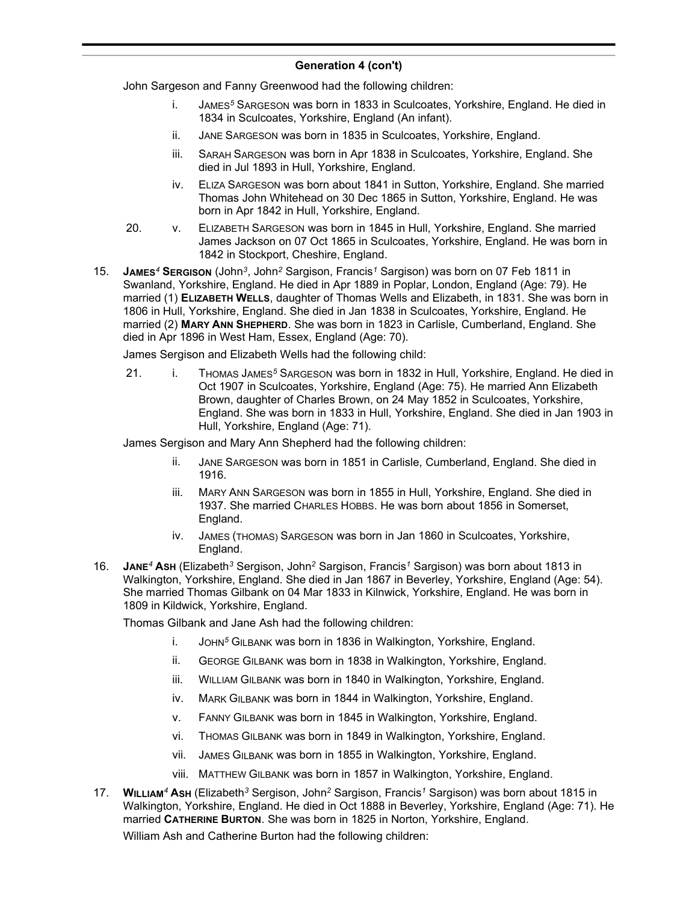# **Generation 4 (con't)**

John Sargeson and Fanny Greenwood had the following children:

- i. JAMES*<sup>5</sup>* SARGESON was born in 1833 in Sculcoates, Yorkshire, England. He died in 1834 in Sculcoates, Yorkshire, England (An infant).
- ii. JANE SARGESON was born in 1835 in Sculcoates, Yorkshire, England.
- iii. SARAH SARGESON was born in Apr 1838 in Sculcoates, Yorkshire, England. She died in Jul 1893 in Hull, Yorkshire, England.
- iv. ELIZA SARGESON was born about 1841 in Sutton, Yorkshire, England. She married Thomas John Whitehead on 30 Dec 1865 in Sutton, Yorkshire, England. He was born in Apr 1842 in Hull, Yorkshire, England.
- 20. v. ELIZABETH SARGESON was born in 1845 in Hull, Yorkshire, England. She married James Jackson on 07 Oct 1865 in Sculcoates, Yorkshire, England. He was born in 1842 in Stockport, Cheshire, England.
- 15. **JAMES***<sup>4</sup>* **SERGISON** (John*<sup>3</sup>* , John*<sup>2</sup>* Sargison, Francis*<sup>1</sup>* Sargison) was born on 07 Feb 1811 in Swanland, Yorkshire, England. He died in Apr 1889 in Poplar, London, England (Age: 79). He married (1) **ELIZABETH WELLS**, daughter of Thomas Wells and Elizabeth, in 1831. She was born in 1806 in Hull, Yorkshire, England. She died in Jan 1838 in Sculcoates, Yorkshire, England. He married (2) **MARY ANN SHEPHERD**. She was born in 1823 in Carlisle, Cumberland, England. She died in Apr 1896 in West Ham, Essex, England (Age: 70).

James Sergison and Elizabeth Wells had the following child:

21. i. THOMAS JAMES*<sup>5</sup>* SARGESON was born in 1832 in Hull, Yorkshire, England. He died in Oct 1907 in Sculcoates, Yorkshire, England (Age: 75). He married Ann Elizabeth Brown, daughter of Charles Brown, on 24 May 1852 in Sculcoates, Yorkshire, England. She was born in 1833 in Hull, Yorkshire, England. She died in Jan 1903 in Hull, Yorkshire, England (Age: 71).

James Sergison and Mary Ann Shepherd had the following children:

- ii. JANE SARGESON was born in 1851 in Carlisle, Cumberland, England. She died in 1916.
- iii. MARY ANN SARGESON was born in 1855 in Hull, Yorkshire, England. She died in 1937. She married CHARLES HOBBS. He was born about 1856 in Somerset, England.
- iv. JAMES (THOMAS) SARGESON was born in Jan 1860 in Sculcoates, Yorkshire, England.
- 16. **JANE***<sup>4</sup>* **ASH** (Elizabeth*<sup>3</sup>* Sergison, John*<sup>2</sup>* Sargison, Francis*<sup>1</sup>* Sargison) was born about 1813 in Walkington, Yorkshire, England. She died in Jan 1867 in Beverley, Yorkshire, England (Age: 54). She married Thomas Gilbank on 04 Mar 1833 in Kilnwick, Yorkshire, England. He was born in 1809 in Kildwick, Yorkshire, England.

Thomas Gilbank and Jane Ash had the following children:

- i. JOHN*<sup>5</sup>* GILBANK was born in 1836 in Walkington, Yorkshire, England.
- ii. GEORGE GILBANK was born in 1838 in Walkington, Yorkshire, England.
- iii. WILLIAM GILBANK was born in 1840 in Walkington, Yorkshire, England.
- iv. MARK GILBANK was born in 1844 in Walkington, Yorkshire, England.
- v. FANNY GILBANK was born in 1845 in Walkington, Yorkshire, England.
- vi. THOMAS GILBANK was born in 1849 in Walkington, Yorkshire, England.
- vii. JAMES GILBANK was born in 1855 in Walkington, Yorkshire, England.
- viii. MATTHEW GILBANK was born in 1857 in Walkington, Yorkshire, England.
- 17. **WILLIAM***<sup>4</sup>* **ASH** (Elizabeth*<sup>3</sup>* Sergison, John*<sup>2</sup>* Sargison, Francis*<sup>1</sup>* Sargison) was born about 1815 in Walkington, Yorkshire, England. He died in Oct 1888 in Beverley, Yorkshire, England (Age: 71). He married **CATHERINE BURTON**. She was born in 1825 in Norton, Yorkshire, England.

William Ash and Catherine Burton had the following children: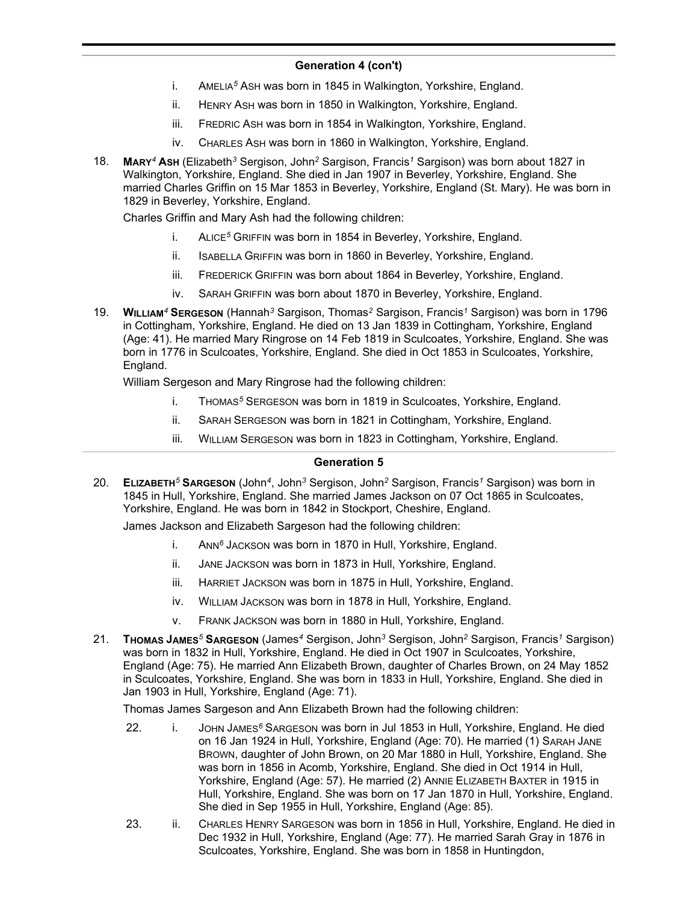## **Generation 4 (con't)**

- i. AMELIA*<sup>5</sup>* ASH was born in 1845 in Walkington, Yorkshire, England.
- ii. HENRY ASH was born in 1850 in Walkington, Yorkshire, England.
- iii. FREDRIC ASH was born in 1854 in Walkington, Yorkshire, England.
- iv. CHARLES ASH was born in 1860 in Walkington, Yorkshire, England.
- 18. **MARY***<sup>4</sup>* **ASH** (Elizabeth*<sup>3</sup>* Sergison, John*<sup>2</sup>* Sargison, Francis*<sup>1</sup>* Sargison) was born about 1827 in Walkington, Yorkshire, England. She died in Jan 1907 in Beverley, Yorkshire, England. She married Charles Griffin on 15 Mar 1853 in Beverley, Yorkshire, England (St. Mary). He was born in 1829 in Beverley, Yorkshire, England.

Charles Griffin and Mary Ash had the following children:

- i. ALICE*<sup>5</sup>* GRIFFIN was born in 1854 in Beverley, Yorkshire, England.
- ii. ISABELLA GRIFFIN was born in 1860 in Beverley, Yorkshire, England.
- iii. FREDERICK GRIFFIN was born about 1864 in Beverley, Yorkshire, England.
- iv. SARAH GRIFFIN was born about 1870 in Beverley, Yorkshire, England.
- 19. **WILLIAM***<sup>4</sup>* **SERGESON** (Hannah*<sup>3</sup>* Sargison, Thomas*<sup>2</sup>* Sargison, Francis*<sup>1</sup>* Sargison) was born in 1796 in Cottingham, Yorkshire, England. He died on 13 Jan 1839 in Cottingham, Yorkshire, England (Age: 41). He married Mary Ringrose on 14 Feb 1819 in Sculcoates, Yorkshire, England. She was born in 1776 in Sculcoates, Yorkshire, England. She died in Oct 1853 in Sculcoates, Yorkshire, England.

William Sergeson and Mary Ringrose had the following children:

- i. THOMAS*<sup>5</sup>* SERGESON was born in 1819 in Sculcoates, Yorkshire, England.
- ii. SARAH SERGESON was born in 1821 in Cottingham, Yorkshire, England.
- iii. WILLIAM SERGESON was born in 1823 in Cottingham, Yorkshire, England.

## **Generation 5**

20. **ELIZABETH***<sup>5</sup>* **SARGESON** (John*<sup>4</sup>* , John*<sup>3</sup>* Sergison, John*<sup>2</sup>* Sargison, Francis*<sup>1</sup>* Sargison) was born in 1845 in Hull, Yorkshire, England. She married James Jackson on 07 Oct 1865 in Sculcoates, Yorkshire, England. He was born in 1842 in Stockport, Cheshire, England.

James Jackson and Elizabeth Sargeson had the following children:

- i. ANN*<sup>6</sup>* JACKSON was born in 1870 in Hull, Yorkshire, England.
- ii. JANE JACKSON was born in 1873 in Hull, Yorkshire, England.
- iii. HARRIET JACKSON was born in 1875 in Hull, Yorkshire, England.
- iv. WILLIAM JACKSON was born in 1878 in Hull, Yorkshire, England.
- v. FRANK JACKSON was born in 1880 in Hull, Yorkshire, England.
- 21. **THOMAS JAMES***<sup>5</sup>* **SARGESON** (James*<sup>4</sup>* Sergison, John*<sup>3</sup>* Sergison, John*<sup>2</sup>* Sargison, Francis*<sup>1</sup>* Sargison) was born in 1832 in Hull, Yorkshire, England. He died in Oct 1907 in Sculcoates, Yorkshire, England (Age: 75). He married Ann Elizabeth Brown, daughter of Charles Brown, on 24 May 1852 in Sculcoates, Yorkshire, England. She was born in 1833 in Hull, Yorkshire, England. She died in Jan 1903 in Hull, Yorkshire, England (Age: 71).

Thomas James Sargeson and Ann Elizabeth Brown had the following children:

- 22. i. JOHN JAMES*<sup>6</sup>* SARGESON was born in Jul 1853 in Hull, Yorkshire, England. He died on 16 Jan 1924 in Hull, Yorkshire, England (Age: 70). He married (1) SARAH JANE BROWN, daughter of John Brown, on 20 Mar 1880 in Hull, Yorkshire, England. She was born in 1856 in Acomb, Yorkshire, England. She died in Oct 1914 in Hull, Yorkshire, England (Age: 57). He married (2) ANNIE ELIZABETH BAXTER in 1915 in Hull, Yorkshire, England. She was born on 17 Jan 1870 in Hull, Yorkshire, England. She died in Sep 1955 in Hull, Yorkshire, England (Age: 85).
- 23. ii. CHARLES HENRY SARGESON was born in 1856 in Hull, Yorkshire, England. He died in Dec 1932 in Hull, Yorkshire, England (Age: 77). He married Sarah Gray in 1876 in Sculcoates, Yorkshire, England. She was born in 1858 in Huntingdon,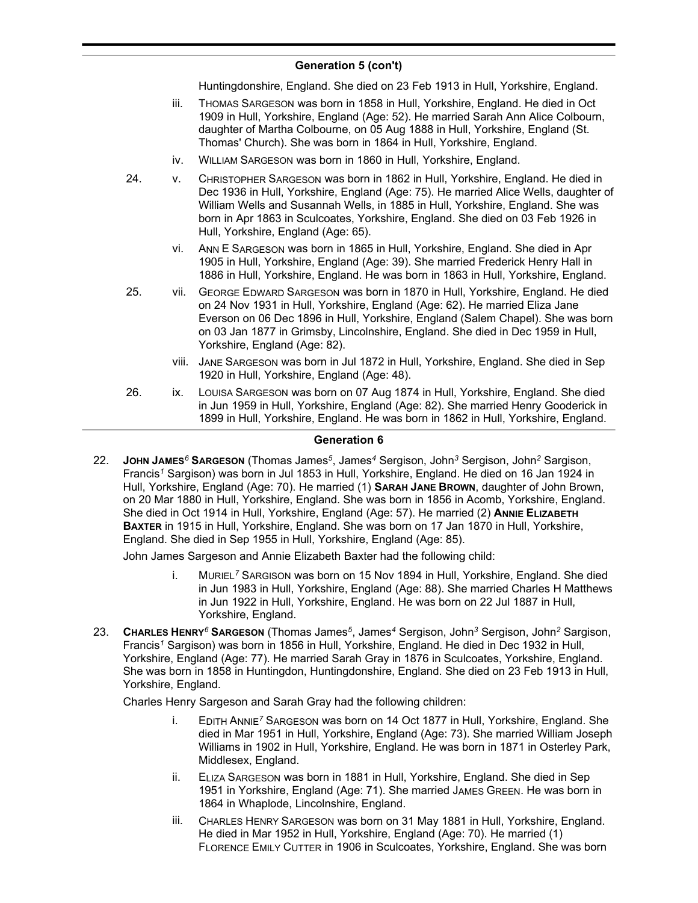## **Generation 5 (con't)**

Huntingdonshire, England. She died on 23 Feb 1913 in Hull, Yorkshire, England.

- iii. THOMAS SARGESON was born in 1858 in Hull, Yorkshire, England. He died in Oct 1909 in Hull, Yorkshire, England (Age: 52). He married Sarah Ann Alice Colbourn, daughter of Martha Colbourne, on 05 Aug 1888 in Hull, Yorkshire, England (St. Thomas' Church). She was born in 1864 in Hull, Yorkshire, England.
- iv. WILLIAM SARGESON was born in 1860 in Hull, Yorkshire, England.
- 24. v. CHRISTOPHER SARGESON was born in 1862 in Hull, Yorkshire, England. He died in Dec 1936 in Hull, Yorkshire, England (Age: 75). He married Alice Wells, daughter of William Wells and Susannah Wells, in 1885 in Hull, Yorkshire, England. She was born in Apr 1863 in Sculcoates, Yorkshire, England. She died on 03 Feb 1926 in Hull, Yorkshire, England (Age: 65).
	- vi. ANN E SARGESON was born in 1865 in Hull, Yorkshire, England. She died in Apr 1905 in Hull, Yorkshire, England (Age: 39). She married Frederick Henry Hall in 1886 in Hull, Yorkshire, England. He was born in 1863 in Hull, Yorkshire, England.
- 25. vii. GEORGE EDWARD SARGESON was born in 1870 in Hull, Yorkshire, England. He died on 24 Nov 1931 in Hull, Yorkshire, England (Age: 62). He married Eliza Jane Everson on 06 Dec 1896 in Hull, Yorkshire, England (Salem Chapel). She was born on 03 Jan 1877 in Grimsby, Lincolnshire, England. She died in Dec 1959 in Hull, Yorkshire, England (Age: 82).
	- viii. JANE SARGESON was born in Jul 1872 in Hull, Yorkshire, England. She died in Sep 1920 in Hull, Yorkshire, England (Age: 48).
- 26. ix. LOUISA SARGESON was born on 07 Aug 1874 in Hull, Yorkshire, England. She died in Jun 1959 in Hull, Yorkshire, England (Age: 82). She married Henry Gooderick in 1899 in Hull, Yorkshire, England. He was born in 1862 in Hull, Yorkshire, England.

## **Generation 6**

22. **JOHN JAMES***<sup>6</sup>* **SARGESON** (Thomas James*<sup>5</sup>* , James*<sup>4</sup>* Sergison, John*<sup>3</sup>* Sergison, John*<sup>2</sup>* Sargison, Francis*<sup>1</sup>* Sargison) was born in Jul 1853 in Hull, Yorkshire, England. He died on 16 Jan 1924 in Hull, Yorkshire, England (Age: 70). He married (1) **SARAH JANE BROWN**, daughter of John Brown, on 20 Mar 1880 in Hull, Yorkshire, England. She was born in 1856 in Acomb, Yorkshire, England. She died in Oct 1914 in Hull, Yorkshire, England (Age: 57). He married (2) ANNIE ELIZABETH **BAXTER** in 1915 in Hull, Yorkshire, England. She was born on 17 Jan 1870 in Hull, Yorkshire, England. She died in Sep 1955 in Hull, Yorkshire, England (Age: 85).

John James Sargeson and Annie Elizabeth Baxter had the following child:

- i. MURIEL*<sup>7</sup>* SARGISON was born on 15 Nov 1894 in Hull, Yorkshire, England. She died in Jun 1983 in Hull, Yorkshire, England (Age: 88). She married Charles H Matthews in Jun 1922 in Hull, Yorkshire, England. He was born on 22 Jul 1887 in Hull, Yorkshire, England.
- 23. **CHARLES HENRY***<sup>6</sup>* **SARGESON** (Thomas James*<sup>5</sup>* , James*<sup>4</sup>* Sergison, John*<sup>3</sup>* Sergison, John*<sup>2</sup>* Sargison, Francis*<sup>1</sup>* Sargison) was born in 1856 in Hull, Yorkshire, England. He died in Dec 1932 in Hull, Yorkshire, England (Age: 77). He married Sarah Gray in 1876 in Sculcoates, Yorkshire, England. She was born in 1858 in Huntingdon, Huntingdonshire, England. She died on 23 Feb 1913 in Hull, Yorkshire, England.

Charles Henry Sargeson and Sarah Gray had the following children:

- i. EDITH ANNIE*<sup>7</sup>* SARGESON was born on 14 Oct 1877 in Hull, Yorkshire, England. She died in Mar 1951 in Hull, Yorkshire, England (Age: 73). She married William Joseph Williams in 1902 in Hull, Yorkshire, England. He was born in 1871 in Osterley Park, Middlesex, England.
- ii. ELIZA SARGESON was born in 1881 in Hull, Yorkshire, England. She died in Sep 1951 in Yorkshire, England (Age: 71). She married JAMES GREEN. He was born in 1864 in Whaplode, Lincolnshire, England.
- iii. CHARLES HENRY SARGESON was born on 31 May 1881 in Hull, Yorkshire, England. He died in Mar 1952 in Hull, Yorkshire, England (Age: 70). He married (1) FLORENCE EMILY CUTTER in 1906 in Sculcoates, Yorkshire, England. She was born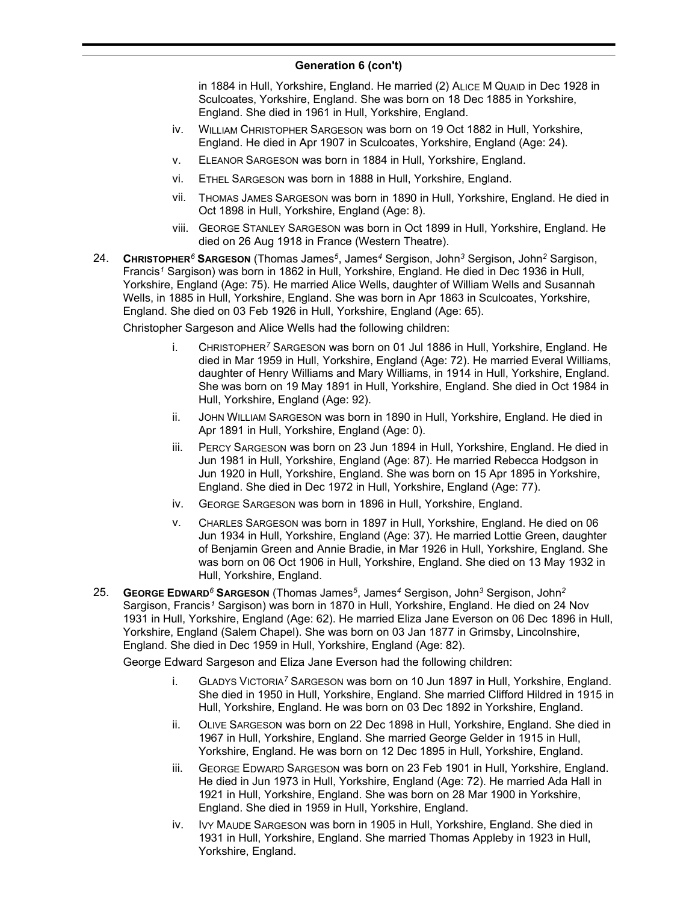### **Generation 6 (con't)**

in 1884 in Hull, Yorkshire, England. He married (2) ALICE M QUAID in Dec 1928 in Sculcoates, Yorkshire, England. She was born on 18 Dec 1885 in Yorkshire, England. She died in 1961 in Hull, Yorkshire, England.

- iv. WILLIAM CHRISTOPHER SARGESON was born on 19 Oct 1882 in Hull, Yorkshire, England. He died in Apr 1907 in Sculcoates, Yorkshire, England (Age: 24).
- v. ELEANOR SARGESON was born in 1884 in Hull, Yorkshire, England.
- vi. ETHEL SARGESON was born in 1888 in Hull, Yorkshire, England.
- vii. THOMAS JAMES SARGESON was born in 1890 in Hull, Yorkshire, England. He died in Oct 1898 in Hull, Yorkshire, England (Age: 8).
- viii. GEORGE STANLEY SARGESON was born in Oct 1899 in Hull, Yorkshire, England. He died on 26 Aug 1918 in France (Western Theatre).
- 24. **CHRISTOPHER***<sup>6</sup>* **SARGESON** (Thomas James*<sup>5</sup>* , James*<sup>4</sup>* Sergison, John*<sup>3</sup>* Sergison, John*<sup>2</sup>* Sargison, Francis*<sup>1</sup>* Sargison) was born in 1862 in Hull, Yorkshire, England. He died in Dec 1936 in Hull, Yorkshire, England (Age: 75). He married Alice Wells, daughter of William Wells and Susannah Wells, in 1885 in Hull, Yorkshire, England. She was born in Apr 1863 in Sculcoates, Yorkshire, England. She died on 03 Feb 1926 in Hull, Yorkshire, England (Age: 65).

Christopher Sargeson and Alice Wells had the following children:

- i. CHRISTOPHER*<sup>7</sup>* SARGESON was born on 01 Jul 1886 in Hull, Yorkshire, England. He died in Mar 1959 in Hull, Yorkshire, England (Age: 72). He married Everal Williams, daughter of Henry Williams and Mary Williams, in 1914 in Hull, Yorkshire, England. She was born on 19 May 1891 in Hull, Yorkshire, England. She died in Oct 1984 in Hull, Yorkshire, England (Age: 92).
- ii. JOHN WILLIAM SARGESON was born in 1890 in Hull, Yorkshire, England. He died in Apr 1891 in Hull, Yorkshire, England (Age: 0).
- iii. PERCY SARGESON was born on 23 Jun 1894 in Hull, Yorkshire, England. He died in Jun 1981 in Hull, Yorkshire, England (Age: 87). He married Rebecca Hodgson in Jun 1920 in Hull, Yorkshire, England. She was born on 15 Apr 1895 in Yorkshire, England. She died in Dec 1972 in Hull, Yorkshire, England (Age: 77).
- iv. GEORGE SARGESON was born in 1896 in Hull, Yorkshire, England.
- v. CHARLES SARGESON was born in 1897 in Hull, Yorkshire, England. He died on 06 Jun 1934 in Hull, Yorkshire, England (Age: 37). He married Lottie Green, daughter of Benjamin Green and Annie Bradie, in Mar 1926 in Hull, Yorkshire, England. She was born on 06 Oct 1906 in Hull, Yorkshire, England. She died on 13 May 1932 in Hull, Yorkshire, England.
- 25. **GEORGE EDWARD***<sup>6</sup>* **SARGESON** (Thomas James*<sup>5</sup>* , James*<sup>4</sup>* Sergison, John*<sup>3</sup>* Sergison, John*<sup>2</sup>* Sargison, Francis*<sup>1</sup>* Sargison) was born in 1870 in Hull, Yorkshire, England. He died on 24 Nov 1931 in Hull, Yorkshire, England (Age: 62). He married Eliza Jane Everson on 06 Dec 1896 in Hull, Yorkshire, England (Salem Chapel). She was born on 03 Jan 1877 in Grimsby, Lincolnshire, England. She died in Dec 1959 in Hull, Yorkshire, England (Age: 82).

George Edward Sargeson and Eliza Jane Everson had the following children:

- i. GLADYS VICTORIA*<sup>7</sup>* SARGESON was born on 10 Jun 1897 in Hull, Yorkshire, England. She died in 1950 in Hull, Yorkshire, England. She married Clifford Hildred in 1915 in Hull, Yorkshire, England. He was born on 03 Dec 1892 in Yorkshire, England.
- ii. OLIVE SARGESON was born on 22 Dec 1898 in Hull, Yorkshire, England. She died in 1967 in Hull, Yorkshire, England. She married George Gelder in 1915 in Hull, Yorkshire, England. He was born on 12 Dec 1895 in Hull, Yorkshire, England.
- iii. GEORGE EDWARD SARGESON was born on 23 Feb 1901 in Hull, Yorkshire, England. He died in Jun 1973 in Hull, Yorkshire, England (Age: 72). He married Ada Hall in 1921 in Hull, Yorkshire, England. She was born on 28 Mar 1900 in Yorkshire, England. She died in 1959 in Hull, Yorkshire, England.
- iv. IVY MAUDE SARGESON was born in 1905 in Hull, Yorkshire, England. She died in 1931 in Hull, Yorkshire, England. She married Thomas Appleby in 1923 in Hull, Yorkshire, England.